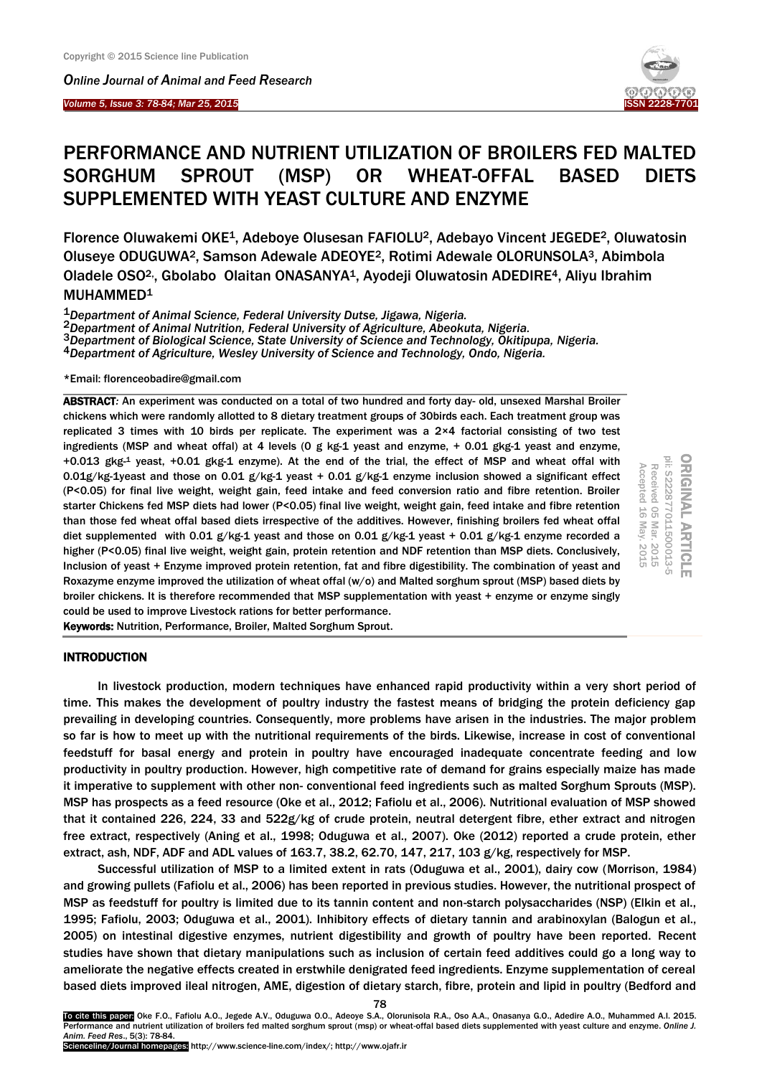*Online Journal of A[nimal and](http://www.ojafr.ir/main/) Feed Research*

*Volume 5, Issue 3: 78-84; Mar 25, 2015* I



# PERFORMANCE AND NUTRIENT UTILIZATION OF BROILERS FED MALTED SORGHUM SPROUT (MSP) OR WHEAT-OFFAL BASED DIETS SUPPLEMENTED WITH YEAST CULTURE AND ENZYME

Florence Oluwakemi OKE1, Adeboye Olusesan FAFIOLU2, Adebayo Vincent JEGEDE2, Oluwatosin Oluseye ODUGUWA2, Samson Adewale ADEOYE2, Rotimi Adewale OLORUNSOLA3, Abimbola Oladele OSO2,, Gbolabo Olaitan ONASANYA1, Ayodeji Oluwatosin ADEDIRE4, Aliyu Ibrahim MUHAMMED<sup>1</sup>

1*Department of Animal Science, Federal University Dutse, Jigawa, Nigeria.*

2*Department of Animal Nutrition, Federal University of Agriculture, Abeokuta, Nigeria.*

3*Department of Biological Science, State University of Science and Technology, Okitipupa, Nigeria.*

4*Department of Agriculture, Wesley University of Science and Technology, Ondo, Nigeria.*

\*Email: florenceobadire@gmail.com

ABSTRACT*:* An experiment was conducted on a total of two hundred and forty day- old, unsexed Marshal Broiler chickens which were randomly allotted to 8 dietary treatment groups of 30birds each. Each treatment group was replicated 3 times with 10 birds per replicate. The experiment was a 2×4 factorial consisting of two test ingredients (MSP and wheat offal) at 4 levels (0 g kg-1 yeast and enzyme, + 0.01 gkg-1 yeast and enzyme, +0.013 gkg-<sup>1</sup> yeast, +0.01 gkg-1 enzyme). At the end of the trial, the effect of MSP and wheat offal with 0.01g/kg-1yeast and those on 0.01 g/kg-1 yeast + 0.01 g/kg-1 enzyme inclusion showed a significant effect (P<0.05) for final live weight, weight gain, feed intake and feed conversion ratio and fibre retention. Broiler starter Chickens fed MSP diets had lower (P<0.05) final live weight, weight gain, feed intake and fibre retention than those fed wheat offal based diets irrespective of the additives. However, finishing broilers fed wheat offal diet supplemented with 0.01 g/kg-1 yeast and those on 0.01 g/kg-1 yeast + 0.01 g/kg-1 enzyme recorded a higher (P<0.05) final live weight, weight gain, protein retention and NDF retention than MSP diets. Conclusively, Inclusion of yeast + Enzyme improved protein retention, fat and fibre digestibility. The combination of yeast and Roxazyme enzyme improved the utilization of wheat offal (w/o) and Malted sorghum sprout (MSP) based diets by broiler chickens. It is therefore recommended that MSP supplementation with yeast + enzyme or enzyme singly could be used to improve Livestock rations for better performance.

ORIGINAL ARTICLE<br>pii: s222877011500013-5 Received 05 Mar. 2015 Accepted 16 May. 2015 Accepted 16 Received 05 May. 2015 Mar. 2015

Keywords: Nutrition, Performance, Broiler, Malted Sorghum Sprout.

## **INTRODUCTION**

In livestock production, modern techniques have enhanced rapid productivity within a very short period of time. This makes the development of poultry industry the fastest means of bridging the protein deficiency gap prevailing in developing countries. Consequently, more problems have arisen in the industries. The major problem so far is how to meet up with the nutritional requirements of the birds. Likewise, increase in cost of conventional feedstuff for basal energy and protein in poultry have encouraged inadequate concentrate feeding and low productivity in poultry production. However, high competitive rate of demand for grains especially maize has made it imperative to supplement with other non- conventional feed ingredients such as malted Sorghum Sprouts (MSP). MSP has prospects as a feed resource (Oke et al., 2012; Fafiolu et al., 2006). Nutritional evaluation of MSP showed that it contained 226, 224, 33 and 522g/kg of crude protein, neutral detergent fibre, ether extract and nitrogen free extract, respectively (Aning et al., 1998; Oduguwa et al., 2007). Oke (2012) reported a crude protein, ether extract, ash, NDF, ADF and ADL values of 163.7, 38.2, 62.70, 147, 217, 103 g/kg, respectively for MSP.

Successful utilization of MSP to a limited extent in rats (Oduguwa et al., 2001), dairy cow (Morrison, 1984) and growing pullets (Fafiolu et al., 2006) has been reported in previous studies. However, the nutritional prospect of MSP as feedstuff for poultry is limited due to its tannin content and non-starch polysaccharides (NSP) (Elkin et al., 1995; Fafiolu, 2003; Oduguwa et al., 2001). Inhibitory effects of dietary tannin and arabinoxylan (Balogun et al., 2005) on intestinal digestive enzymes, nutrient digestibility and growth of poultry have been reported. Recent studies have shown that dietary manipulations such as inclusion of certain feed additives could go a long way to ameliorate the negative effects created in erstwhile denigrated feed ingredients. Enzyme supplementation of cereal based diets improved ileal nitrogen, AME, digestion of dietary starch, fibre, protein and lipid in poultry (Bedford and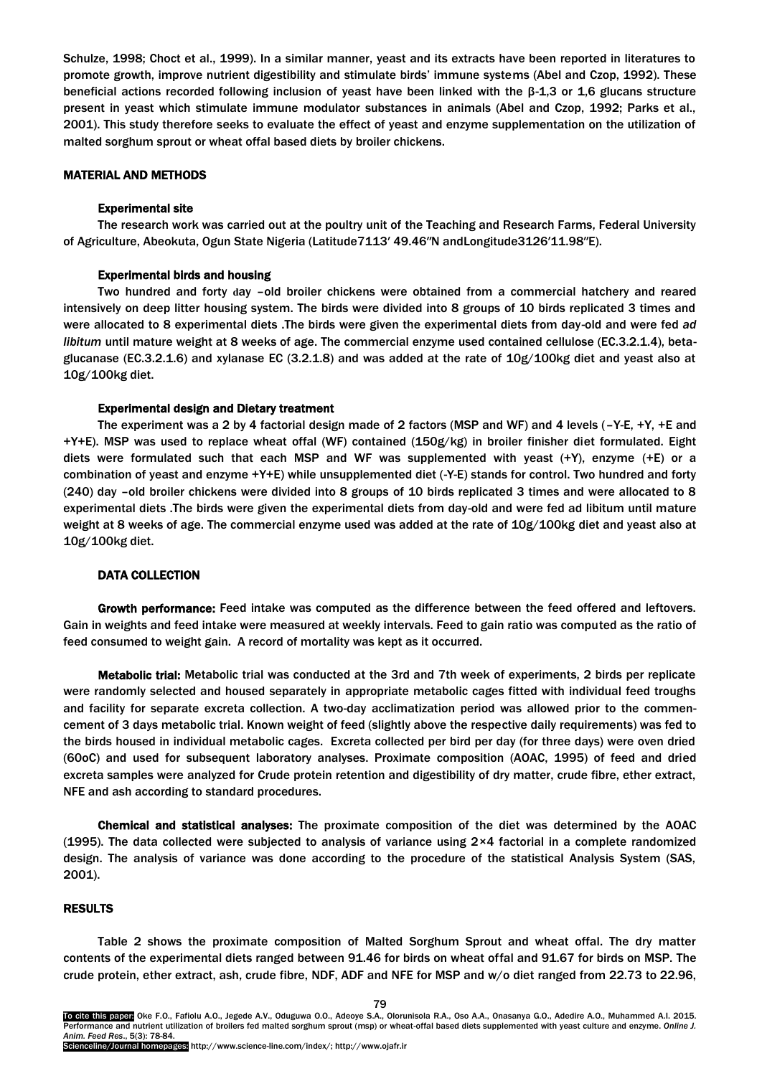Schulze, 1998; Choct et al., 1999). In a similar manner, yeast and its extracts have been reported in literatures to promote growth, improve nutrient digestibility and stimulate birds' immune systems (Abel and Czop, 1992). These beneficial actions recorded following inclusion of yeast have been linked with the β-1,3 or 1,6 glucans structure present in yeast which stimulate immune modulator substances in animals (Abel and Czop, 1992; Parks et al., 2001). This study therefore seeks to evaluate the effect of yeast and enzyme supplementation on the utilization of malted sorghum sprout or wheat offal based diets by broiler chickens.

## MATERIAL AND METHODS

### Experimental site

The research work was carried out at the poultry unit of the Teaching and Research Farms, Federal University of Agriculture, Abeokuta, Ogun State Nigeria (Latitude7113′ 49.46″N andLongitude3126′11.98″E).

### Experimental birds and housing

Two hundred and forty **d**ay –old broiler chickens were obtained from a commercial hatchery and reared intensively on deep litter housing system. The birds were divided into 8 groups of 10 birds replicated 3 times and were allocated to 8 experimental diets .The birds were given the experimental diets from day-old and were fed *ad libitum* until mature weight at 8 weeks of age. The commercial enzyme used contained cellulose (EC.3.2.1.4), betaglucanase (EC.3.2.1.6) and xylanase EC (3.2.1.8) and was added at the rate of 10g/100kg diet and yeast also at 10g/100kg diet.

### Experimental design and Dietary treatment

The experiment was a 2 by 4 factorial design made of 2 factors (MSP and WF) and 4 levels (–Y-E, +Y, +E and +Y+E). MSP was used to replace wheat offal (WF) contained (150g/kg) in broiler finisher diet formulated. Eight diets were formulated such that each MSP and WF was supplemented with yeast (+Y), enzyme (+E) or a combination of yeast and enzyme +Y+E) while unsupplemented diet (-Y-E) stands for control. Two hundred and forty (240) day –old broiler chickens were divided into 8 groups of 10 birds replicated 3 times and were allocated to 8 experimental diets .The birds were given the experimental diets from day-old and were fed ad libitum until mature weight at 8 weeks of age. The commercial enzyme used was added at the rate of 10g/100kg diet and yeast also at 10g/100kg diet.

### DATA COLLECTION

Growth performance: Feed intake was computed as the difference between the feed offered and leftovers. Gain in weights and feed intake were measured at weekly intervals. Feed to gain ratio was computed as the ratio of feed consumed to weight gain. A record of mortality was kept as it occurred.

Metabolic trial: Metabolic trial was conducted at the 3rd and 7th week of experiments, 2 birds per replicate were randomly selected and housed separately in appropriate metabolic cages fitted with individual feed troughs and facility for separate excreta collection. A two-day acclimatization period was allowed prior to the commencement of 3 days metabolic trial. Known weight of feed (slightly above the respective daily requirements) was fed to the birds housed in individual metabolic cages. Excreta collected per bird per day (for three days) were oven dried (60oC) and used for subsequent laboratory analyses. Proximate composition (AOAC, 1995) of feed and dried excreta samples were analyzed for Crude protein retention and digestibility of dry matter, crude fibre, ether extract, NFE and ash according to standard procedures.

Chemical and statistical analyses: The proximate composition of the diet was determined by the AOAC (1995). The data collected were subjected to analysis of variance using 2×4 factorial in a complete randomized design. The analysis of variance was done according to the procedure of the statistical Analysis System (SAS, 2001).

### RESULTS

Table 2 shows the proximate composition of Malted Sorghum Sprout and wheat offal. The dry matter contents of the experimental diets ranged between 91.46 for birds on wheat offal and 91.67 for birds on MSP. The crude protein, ether extract, ash, crude fibre, NDF, ADF and NFE for MSP and w/o diet ranged from 22.73 to 22.96,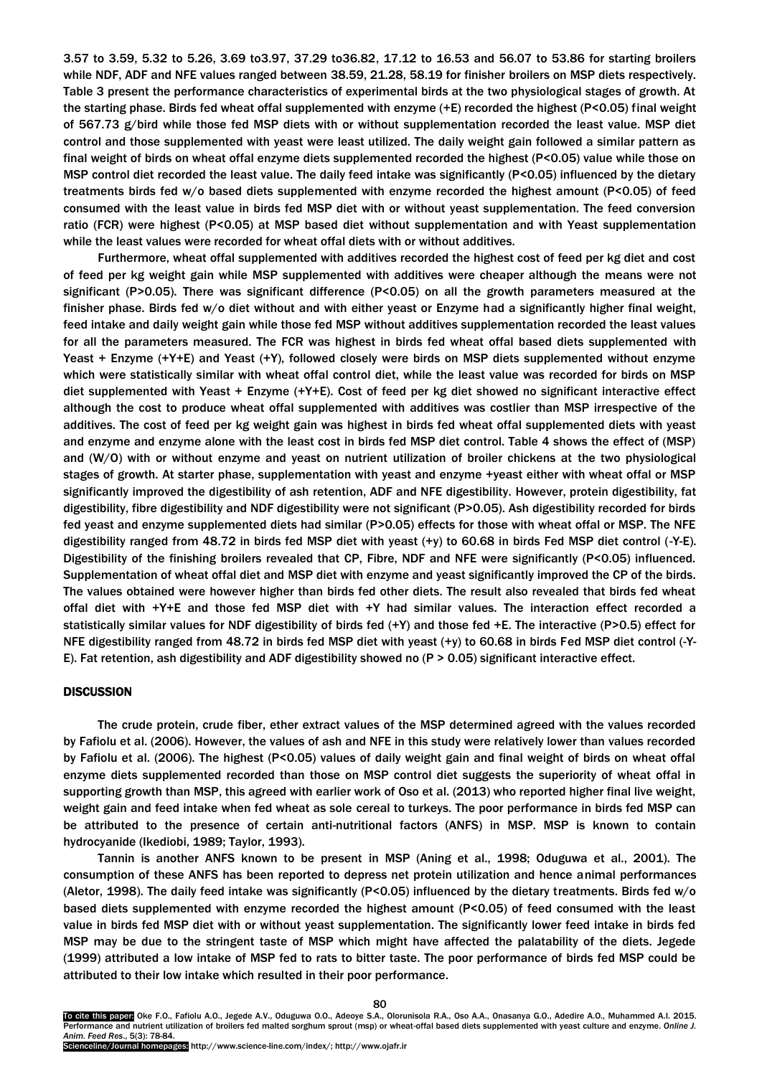3.57 to 3.59, 5.32 to 5.26, 3.69 to3.97, 37.29 to36.82, 17.12 to 16.53 and 56.07 to 53.86 for starting broilers while NDF, ADF and NFE values ranged between 38.59, 21.28, 58.19 for finisher broilers on MSP diets respectively. Table 3 present the performance characteristics of experimental birds at the two physiological stages of growth. At the starting phase. Birds fed wheat offal supplemented with enzyme (+E) recorded the highest (P<0.05) final weight of 567.73 g/bird while those fed MSP diets with or without supplementation recorded the least value. MSP diet control and those supplemented with yeast were least utilized. The daily weight gain followed a similar pattern as final weight of birds on wheat offal enzyme diets supplemented recorded the highest (P<0.05) value while those on MSP control diet recorded the least value. The daily feed intake was significantly (P<0.05) influenced by the dietary treatments birds fed w/o based diets supplemented with enzyme recorded the highest amount (P<0.05) of feed consumed with the least value in birds fed MSP diet with or without yeast supplementation. The feed conversion ratio (FCR) were highest (P<0.05) at MSP based diet without supplementation and with Yeast supplementation while the least values were recorded for wheat offal diets with or without additives.

Furthermore, wheat offal supplemented with additives recorded the highest cost of feed per kg diet and cost of feed per kg weight gain while MSP supplemented with additives were cheaper although the means were not significant (P>0.05). There was significant difference (P<0.05) on all the growth parameters measured at the finisher phase. Birds fed w/o diet without and with either yeast or Enzyme had a significantly higher final weight, feed intake and daily weight gain while those fed MSP without additives supplementation recorded the least values for all the parameters measured. The FCR was highest in birds fed wheat offal based diets supplemented with Yeast + Enzyme (+Y+E) and Yeast (+Y), followed closely were birds on MSP diets supplemented without enzyme which were statistically similar with wheat offal control diet, while the least value was recorded for birds on MSP diet supplemented with Yeast + Enzyme (+Y+E). Cost of feed per kg diet showed no significant interactive effect although the cost to produce wheat offal supplemented with additives was costlier than MSP irrespective of the additives. The cost of feed per kg weight gain was highest in birds fed wheat offal supplemented diets with yeast and enzyme and enzyme alone with the least cost in birds fed MSP diet control. Table 4 shows the effect of (MSP) and (W/O) with or without enzyme and yeast on nutrient utilization of broiler chickens at the two physiological stages of growth. At starter phase, supplementation with yeast and enzyme +yeast either with wheat offal or MSP significantly improved the digestibility of ash retention, ADF and NFE digestibility. However, protein digestibility, fat digestibility, fibre digestibility and NDF digestibility were not significant (P>0.05). Ash digestibility recorded for birds fed yeast and enzyme supplemented diets had similar (P>0.05) effects for those with wheat offal or MSP. The NFE digestibility ranged from 48.72 in birds fed MSP diet with yeast (+y) to 60.68 in birds Fed MSP diet control (-Y-E). Digestibility of the finishing broilers revealed that CP, Fibre, NDF and NFE were significantly (P<0.05) influenced. Supplementation of wheat offal diet and MSP diet with enzyme and yeast significantly improved the CP of the birds. The values obtained were however higher than birds fed other diets. The result also revealed that birds fed wheat offal diet with +Y+E and those fed MSP diet with +Y had similar values. The interaction effect recorded a statistically similar values for NDF digestibility of birds fed (+Y) and those fed +E. The interactive (P>0.5) effect for NFE digestibility ranged from 48.72 in birds fed MSP diet with yeast (+y) to 60.68 in birds Fed MSP diet control (-Y-E). Fat retention, ash digestibility and ADF digestibility showed no (P > 0.05) significant interactive effect.

#### **DISCUSSION**

The crude protein, crude fiber, ether extract values of the MSP determined agreed with the values recorded by Fafiolu et al. (2006). However, the values of ash and NFE in this study were relatively lower than values recorded by Fafiolu et al. (2006). The highest (P<0.05) values of daily weight gain and final weight of birds on wheat offal enzyme diets supplemented recorded than those on MSP control diet suggests the superiority of wheat offal in supporting growth than MSP, this agreed with earlier work of Oso et al. (2013) who reported higher final live weight, weight gain and feed intake when fed wheat as sole cereal to turkeys. The poor performance in birds fed MSP can be attributed to the presence of certain anti-nutritional factors (ANFS) in MSP. MSP is known to contain hydrocyanide (Ikediobi, 1989; Taylor, 1993).

Tannin is another ANFS known to be present in MSP (Aning et al., 1998; Oduguwa et al., 2001). The consumption of these ANFS has been reported to depress net protein utilization and hence animal performances (Aletor, 1998). The daily feed intake was significantly (P<0.05) influenced by the dietary treatments. Birds fed w/o based diets supplemented with enzyme recorded the highest amount (P<0.05) of feed consumed with the least value in birds fed MSP diet with or without yeast supplementation. The significantly lower feed intake in birds fed MSP may be due to the stringent taste of MSP which might have affected the palatability of the diets. Jegede (1999) attributed a low intake of MSP fed to rats to bitter taste. The poor performance of birds fed MSP could be attributed to their low intake which resulted in their poor performance.

To cite this paper: Oke F.O., Fafiolu A.O., Jegede A.V., Oduguwa O.O., Adeoye S.A., Olorunisola R.A., Oso A.A., Onasanya G.O., Adedire A.O., Muhammed A.I. 2015. Performance and nutrient utilization of broilers fed malted sorghum sprout (msp) or wheat-offal based diets supplemented with yeast culture and enzyme. *Online J. Anim. Feed Res*., 5(3): 78-84.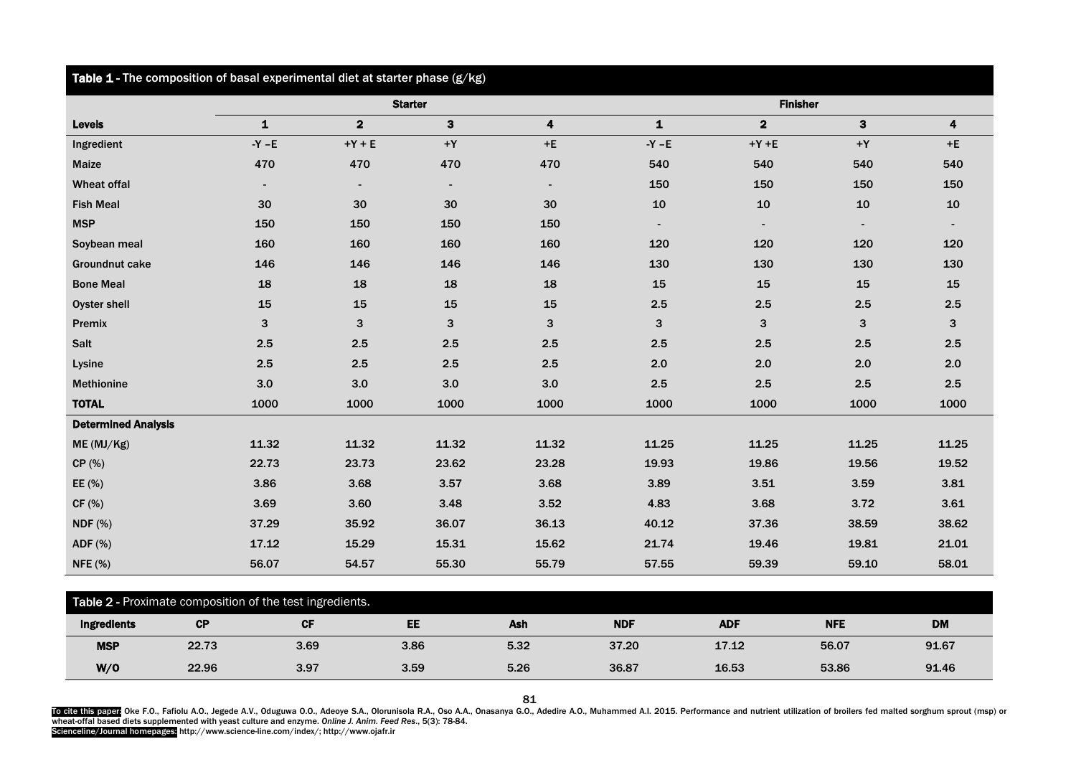| Table 1 - The composition of basal experimental diet at starter phase (g/kg) |                |                |                |                         |                 |                         |                |       |  |
|------------------------------------------------------------------------------|----------------|----------------|----------------|-------------------------|-----------------|-------------------------|----------------|-------|--|
|                                                                              | <b>Starter</b> |                |                |                         | <b>Finisher</b> |                         |                |       |  |
| <b>Levels</b>                                                                | $\mathbf{1}$   | $\overline{2}$ | $\mathbf{3}$   | $\overline{\mathbf{4}}$ | $\mathbf{1}$    | $\overline{\mathbf{2}}$ | 3              | 4     |  |
| Ingredient                                                                   | $-Y - E$       | $+Y + E$       | $+{\sf Y}$     | $+E$                    | $-Y - E$        | $+Y + E$                | $+{\sf Y}$     | $+E$  |  |
| Maize                                                                        | 470            | 470            | 470            | 470                     | 540             | 540                     | 540            | 540   |  |
| <b>Wheat offal</b>                                                           | $\blacksquare$ | $\blacksquare$ | $\blacksquare$ | $\blacksquare$          | 150             | 150                     | 150            | 150   |  |
| <b>Fish Meal</b>                                                             | 30             | 30             | 30             | 30                      | 10              | 10                      | 10             | 10    |  |
| <b>MSP</b>                                                                   | 150            | 150            | 150            | 150                     | $\blacksquare$  | $\blacksquare$          | $\blacksquare$ |       |  |
| Soybean meal                                                                 | 160            | 160            | 160            | 160                     | 120             | 120                     | 120            | 120   |  |
| <b>Groundnut cake</b>                                                        | 146            | 146            | 146            | 146                     | 130             | 130                     | 130            | 130   |  |
| <b>Bone Meal</b>                                                             | 18             | 18             | 18             | 18                      | 15              | 15                      | 15             | 15    |  |
| Oyster shell                                                                 | 15             | 15             | 15             | 15                      | 2.5             | 2.5                     | 2.5            | 2.5   |  |
| Premix                                                                       | 3              | 3              | 3              | 3                       | 3               | 3                       | 3              | 3     |  |
| Salt                                                                         | 2.5            | 2.5            | 2.5            | 2.5                     | 2.5             | 2.5                     | 2.5            | 2.5   |  |
| Lysine                                                                       | 2.5            | 2.5            | 2.5            | 2.5                     | 2.0             | 2.0                     | 2.0            | 2.0   |  |
| <b>Methionine</b>                                                            | 3.0            | 3.0            | 3.0            | 3.0                     | 2.5             | 2.5                     | 2.5            | 2.5   |  |
| <b>TOTAL</b>                                                                 | 1000           | 1000           | 1000           | 1000                    | 1000            | 1000                    | 1000           | 1000  |  |
| <b>Determined Analysis</b>                                                   |                |                |                |                         |                 |                         |                |       |  |
| ME (MJ/Kg)                                                                   | 11.32          | 11.32          | 11.32          | 11.32                   | 11.25           | 11.25                   | 11.25          | 11.25 |  |
| CP(%)                                                                        | 22.73          | 23.73          | 23.62          | 23.28                   | 19.93           | 19.86                   | 19.56          | 19.52 |  |
| EE (%)                                                                       | 3.86           | 3.68           | 3.57           | 3.68                    | 3.89            | 3.51                    | 3.59           | 3.81  |  |
| CF(%)                                                                        | 3.69           | 3.60           | 3.48           | 3.52                    | 4.83            | 3.68                    | 3.72           | 3.61  |  |
| <b>NDF</b> (%)                                                               | 37.29          | 35.92          | 36.07          | 36.13                   | 40.12           | 37.36                   | 38.59          | 38.62 |  |
| ADF (%)                                                                      | 17.12          | 15.29          | 15.31          | 15.62                   | 21.74           | 19.46                   | 19.81          | 21.01 |  |
| <b>NFE</b> (%)                                                               | 56.07          | 54.57          | 55.30          | 55.79                   | 57.55           | 59.39                   | 59.10          | 58.01 |  |

| Table 2 - Proximate composition of the test ingredients. |           |      |           |      |            |            |            |           |  |
|----------------------------------------------------------|-----------|------|-----------|------|------------|------------|------------|-----------|--|
| Ingredients                                              | <b>CP</b> | СF   | <b>EE</b> | Ash  | <b>NDF</b> | <b>ADF</b> | <b>NFE</b> | <b>DM</b> |  |
| <b>MSP</b>                                               | 22.73     | 3.69 | 3.86      | 5.32 | 37.20      | 17.12      | 56.07      | 91.67     |  |
| W/O                                                      | 22.96     | 3.97 | 3.59      | 5.26 | 36.87      | 16.53      | 53.86      | 91.46     |  |

81

To cite this paper Oke F.O., Fafiolu A.O., Jegede A.V., Oduguwa O.O., Adeoye S.A., Olorunisola R.A., Oso A.A., Onasanya G.O., Adedire A.O., Muhammed A.I. 2015. Performance and nutrient utilization of broilers fed malted so

Scienceline/Journal homepages: http://www.science-line.com/index/; http://www.ojafr.ir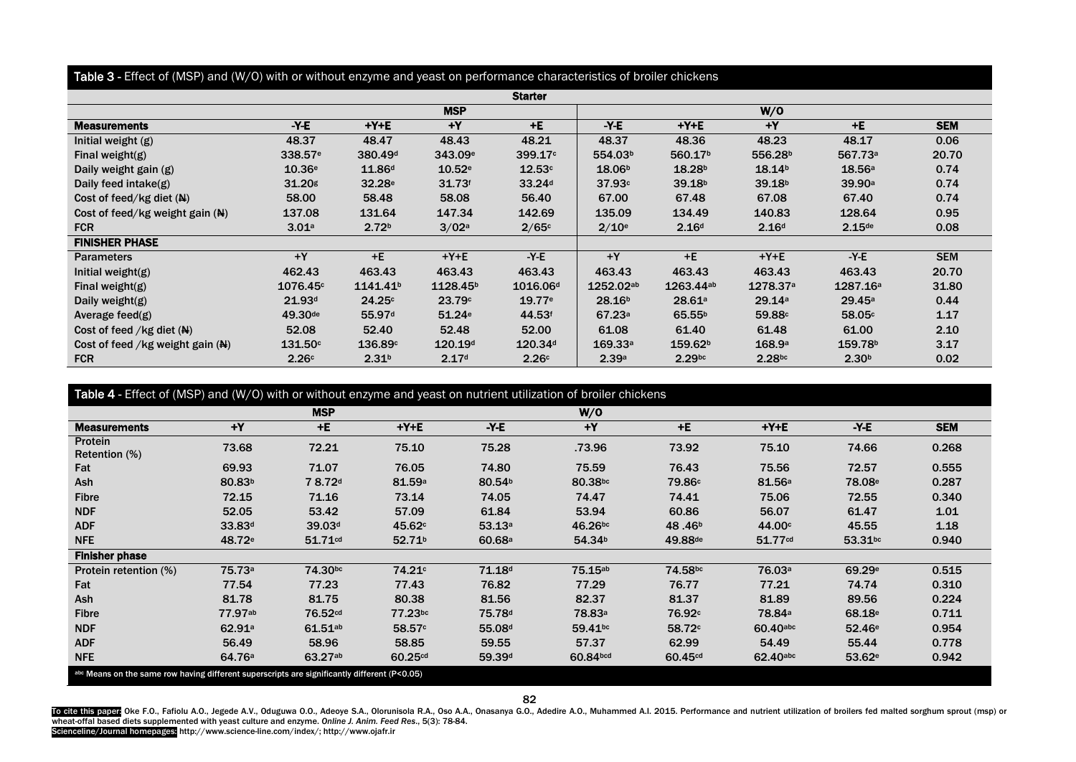## Table 3 - Effect of (MSP) and (W/O) with or without enzyme and yeast on performance characteristics of broiler chickens

| <b>Starter</b>                   |                     |                      |                      |                      |                    |                     |                     |                      |            |
|----------------------------------|---------------------|----------------------|----------------------|----------------------|--------------------|---------------------|---------------------|----------------------|------------|
|                                  | <b>MSP</b>          |                      |                      |                      | W/O                |                     |                     |                      |            |
| <b>Measurements</b>              | $-Y-E$              | $+Y+E$               | $+Y$                 | $+E$                 | $-Y-E$             | $+Y+E$              | $+Y$                | $+E$                 | <b>SEM</b> |
| Initial weight (g)               | 48.37               | 48.47                | 48.43                | 48.21                | 48.37              | 48.36               | 48.23               | 48.17                | 0.06       |
| Final weight( $g$ )              | 338.57 <sup>e</sup> | 380.49 <sup>d</sup>  | 343.09 <sup>e</sup>  | 399.17c              | 554.03b            | 560.17b             | 556.28 <sup>b</sup> | 567.73a              | 20.70      |
| Daily weight gain (g)            | 10.36e              | 11.86 <sup>d</sup>   | 10.52e               | 12.53c               | 18.06 <sup>b</sup> | 18.28 <sup>b</sup>  | 18.14 <sup>b</sup>  | 18.56a               | 0.74       |
| Daily feed intake $(g)$          | $31.20$ g           | 32.28 <sup>e</sup>   | 31.73 <sup>f</sup>   | 33.24 <sup>d</sup>   | 37.93c             | 39.18 <sup>b</sup>  | 39.18 <sup>b</sup>  | 39.90a               | 0.74       |
| Cost of feed/kg diet $(N)$       | 58.00               | 58.48                | 58.08                | 56.40                | 67.00              | 67.48               | 67.08               | 67.40                | 0.74       |
| Cost of feed/kg weight gain (N)  | 137.08              | 131.64               | 147.34               | 142.69               | 135.09             | 134.49              | 140.83              | 128.64               | 0.95       |
| <b>FCR</b>                       | 3.01a               | 2.72 <sup>b</sup>    | 3/02a                | 2/65c                | 2/10 <sup>e</sup>  | 2.16 <sup>d</sup>   | 2.16 <sup>d</sup>   | $2.15$ de            | 0.08       |
| <b>FINISHER PHASE</b>            |                     |                      |                      |                      |                    |                     |                     |                      |            |
| <b>Parameters</b>                | $+Y$                | $+E$                 | $+Y+E$               | $-Y-E$               | $+Y$               | $+E$                | $+Y+E$              | $-Y-E$               | <b>SEM</b> |
| Initial weight(g)                | 462.43              | 463.43               | 463.43               | 463.43               | 463.43             | 463.43              | 463.43              | 463.43               | 20.70      |
| Final weight( $g$ )              | 1076.45c            | 1141.41 <sup>b</sup> | 1128.45 <sup>b</sup> | 1016.06 <sup>d</sup> | 1252.02ab          | 1263.44ab           | 1278.37a            | 1287.16 <sup>a</sup> | 31.80      |
| Daily weight( $g$ )              | 21.93 <sup>d</sup>  | 24.25c               | 23.79c               | 19.77e               | 28.16 <sup>b</sup> | 28.61a              | 29.14a              | 29.45a               | 0.44       |
| Average feed $(g)$               | 49.30 <sup>de</sup> | 55.97 <sup>d</sup>   | 51.24 <sup>e</sup>   | 44.53f               | 67.23a             | 65.55 <sup>b</sup>  | 59.88c              | 58.05c               | 1.17       |
| Cost of feed /kg diet $(N)$      | 52.08               | 52.40                | 52.48                | 52.00                | 61.08              | 61.40               | 61.48               | 61.00                | 2.10       |
| Cost of feed /kg weight gain (N) | 131.50c             | 136.89c              | 120.19d              | 120.34 <sup>d</sup>  | 169.33a            | 159.62 <sup>b</sup> | 168.9a              | 159.78 <sup>b</sup>  | 3.17       |
| <b>FCR</b>                       | 2.26c               | 2.31 <sup>b</sup>    | 2.17d                | 2.26c                | 2.39a              | $2.29$ bc           | 2.28bc              | 2.30 <sup>b</sup>    | 0.02       |

Table 4 - Effect of (MSP) and (W/O) with or without enzyme and yeast on nutrient utilization of broiler chickens

|                                                                                              |                    | <b>MSP</b>          |                     |                    | W/O                |                     |                    |                    |            |
|----------------------------------------------------------------------------------------------|--------------------|---------------------|---------------------|--------------------|--------------------|---------------------|--------------------|--------------------|------------|
| <b>Measurements</b>                                                                          | $+Y$               | $+E$                | $+Y+E$              | $-Y-E$             | $+Y$               | $+E$                | $+Y+E$             | $-Y-E$             | <b>SEM</b> |
| Protein<br>Retention (%)                                                                     | 73.68              | 72.21               | 75.10               | 75.28              | .73.96             | 73.92               | 75.10              | 74.66              | 0.268      |
| Fat                                                                                          | 69.93              | 71.07               | 76.05               | 74.80              | 75.59              | 76.43               | 75.56              | 72.57              | 0.555      |
| Ash                                                                                          | 80.83 <sup>b</sup> | 78.72d              | 81.59a              | 80.54 <sup>b</sup> | 80.38bc            | 79.86c              | 81.56 <sup>a</sup> | 78.08 <sup>e</sup> | 0.287      |
| <b>Fibre</b>                                                                                 | 72.15              | 71.16               | 73.14               | 74.05              | 74.47              | 74.41               | 75.06              | 72.55              | 0.340      |
| <b>NDF</b>                                                                                   | 52.05              | 53.42               | 57.09               | 61.84              | 53.94              | 60.86               | 56.07              | 61.47              | 1.01       |
| <b>ADF</b>                                                                                   | 33.83 <sup>d</sup> | 39.03 <sup>d</sup>  | 45.62 <sup>c</sup>  | 53.13a             | 46.26bc            | 48.46 <sup>b</sup>  | 44.00c             | 45.55              | 1.18       |
| <b>NFE</b>                                                                                   | 48.72 <sup>e</sup> | 51.71cd             | 52.71 <sup>b</sup>  | 60.68 <sup>a</sup> | 54.34 <sup>b</sup> | 49.88 <sup>de</sup> | 51.77cd            | 53.31bc            | 0.940      |
| <b>Finisher phase</b>                                                                        |                    |                     |                     |                    |                    |                     |                    |                    |            |
| Protein retention (%)                                                                        | 75.73a             | 74.30bc             | 74.21 <sup>c</sup>  | 71.18 <sup>d</sup> | 75.15ab            | 74.58bc             | 76.03 <sup>a</sup> | 69.29 <sup>e</sup> | 0.515      |
| Fat                                                                                          | 77.54              | 77.23               | 77.43               | 76.82              | 77.29              | 76.77               | 77.21              | 74.74              | 0.310      |
| Ash                                                                                          | 81.78              | 81.75               | 80.38               | 81.56              | 82.37              | 81.37               | 81.89              | 89.56              | 0.224      |
| <b>Fibre</b>                                                                                 | 77.97ab            | 76.52cd             | 77.23bc             | 75.78 <sup>d</sup> | 78.83 <sup>a</sup> | 76.92c              | 78.84a             | 68.18 <sup>e</sup> | 0.711      |
| <b>NDF</b>                                                                                   | 62.91a             | 61.51a <sub>b</sub> | 58.57c              | 55.08 <sup>d</sup> | 59.41bc            | 58.72c              | 60.40abc           | 52.46 <sup>e</sup> | 0.954      |
| <b>ADF</b>                                                                                   | 56.49              | 58.96               | 58.85               | 59.55              | 57.37              | 62.99               | 54.49              | 55.44              | 0.778      |
| <b>NFE</b>                                                                                   | 64.76 <sup>a</sup> | 63.27ab             | 60.25 <sup>cd</sup> | 59.39d             | 60.84bcd           | 60.45 <sup>cd</sup> | 62.40abc           | 53.62e             | 0.942      |
| abc Means on the same row having different superscripts are significantly different (P<0.05) |                    |                     |                     |                    |                    |                     |                    |                    |            |

82

To cite this paper Oke F.O., Fafiolu A.O., Jegede A.V., Oduguwa O.O., Adeoye S.A., Olorunisola R.A., Oso A.A., Onasanya G.O., Adedire A.O., Muhammed A.I. 2015. Performance and nutrient utilization of broilers fed malted so Scienceline/Journal homepages: http://www.science-line.com/index/; http://www.ojafr.ir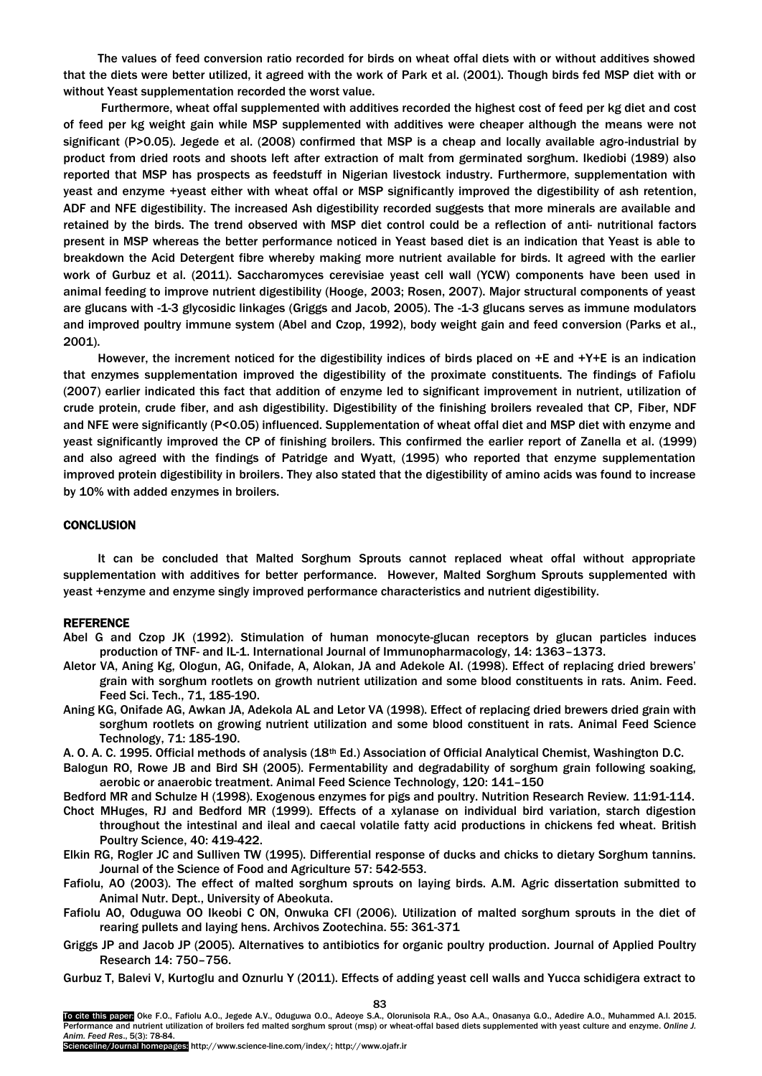The values of feed conversion ratio recorded for birds on wheat offal diets with or without additives showed that the diets were better utilized, it agreed with the work of Park et al. (2001). Though birds fed MSP diet with or without Yeast supplementation recorded the worst value.

Furthermore, wheat offal supplemented with additives recorded the highest cost of feed per kg diet and cost of feed per kg weight gain while MSP supplemented with additives were cheaper although the means were not significant (P>0.05). Jegede et al. (2008) confirmed that MSP is a cheap and locally available agro-industrial by product from dried roots and shoots left after extraction of malt from germinated sorghum. Ikediobi (1989) also reported that MSP has prospects as feedstuff in Nigerian livestock industry. Furthermore, supplementation with yeast and enzyme +yeast either with wheat offal or MSP significantly improved the digestibility of ash retention, ADF and NFE digestibility. The increased Ash digestibility recorded suggests that more minerals are available and retained by the birds. The trend observed with MSP diet control could be a reflection of anti- nutritional factors present in MSP whereas the better performance noticed in Yeast based diet is an indication that Yeast is able to breakdown the Acid Detergent fibre whereby making more nutrient available for birds. It agreed with the earlier work of Gurbuz et al. (2011). Saccharomyces cerevisiae yeast cell wall (YCW) components have been used in animal feeding to improve nutrient digestibility (Hooge, 2003; Rosen, 2007). Major structural components of yeast are glucans with -1-3 glycosidic linkages (Griggs and Jacob, 2005). The -1-3 glucans serves as immune modulators and improved poultry immune system (Abel and Czop, 1992), body weight gain and feed conversion (Parks et al., 2001).

However, the increment noticed for the digestibility indices of birds placed on +E and +Y+E is an indication that enzymes supplementation improved the digestibility of the proximate constituents. The findings of Fafiolu (2007) earlier indicated this fact that addition of enzyme led to significant improvement in nutrient, utilization of crude protein, crude fiber, and ash digestibility. Digestibility of the finishing broilers revealed that CP, Fiber, NDF and NFE were significantly (P<0.05) influenced. Supplementation of wheat offal diet and MSP diet with enzyme and yeast significantly improved the CP of finishing broilers. This confirmed the earlier report of Zanella et al. (1999) and also agreed with the findings of Patridge and Wyatt, (1995) who reported that enzyme supplementation improved protein digestibility in broilers. They also stated that the digestibility of amino acids was found to increase by 10% with added enzymes in broilers.

## **CONCLUSION**

It can be concluded that Malted Sorghum Sprouts cannot replaced wheat offal without appropriate supplementation with additives for better performance. However, Malted Sorghum Sprouts supplemented with yeast +enzyme and enzyme singly improved performance characteristics and nutrient digestibility.

#### **REFERENCE**

- Abel G and Czop JK (1992). Stimulation of human monocyte-glucan receptors by glucan particles induces production of TNF- and IL-1. International Journal of Immunopharmacology, 14: 1363–1373.
- Aletor VA, Aning Kg, Ologun, AG, Onifade, A, Alokan, JA and Adekole AI. (1998). Effect of replacing dried brewers' grain with sorghum rootlets on growth nutrient utilization and some blood constituents in rats. Anim. Feed. Feed Sci. Tech., 71, 185-190.
- Aning KG, Onifade AG, Awkan JA, Adekola AL and Letor VA (1998). Effect of replacing dried brewers dried grain with sorghum rootlets on growing nutrient utilization and some blood constituent in rats. Animal Feed Science Technology, 71: 185-190.
- A. O. A. C. 1995. Official methods of analysis (18th Ed.) Association of Official Analytical Chemist, Washington D.C.

Balogun RO, Rowe JB and Bird SH (2005). Fermentability and degradability of sorghum grain following soaking, aerobic or anaerobic treatment. Animal Feed Science Technology, 120: 141–150

Bedford MR and Schulze H (1998). Exogenous enzymes for pigs and poultry. Nutrition Research Review*.* 11:91-114. Choct MHuges, RJ and Bedford MR (1999). Effects of a xylanase on individual bird variation, starch digestion throughout the intestinal and ileal and caecal volatile fatty acid productions in chickens fed wheat. British Poultry Science, 40: 419-422.

- Elkin RG, Rogler JC and Sulliven TW (1995). Differential response of ducks and chicks to dietary Sorghum tannins. Journal of the Science of Food and Agriculture 57: 542-553.
- Fafiolu, AO (2003). The effect of malted sorghum sprouts on laying birds. A.M. Agric dissertation submitted to Animal Nutr. Dept., University of Abeokuta.
- Fafiolu AO, Oduguwa OO Ikeobi C ON, Onwuka CFI (2006). Utilization of malted sorghum sprouts in the diet of rearing pullets and laying hens. Archivos Zootechina. 55: 361-371
- Griggs JP and Jacob JP (2005). Alternatives to antibiotics for organic poultry production. Journal of Applied Poultry Research 14: 750–756.
- Gurbuz T, Balevi V, Kurtoglu and Oznurlu Y (2011). Effects of adding yeast cell walls and Yucca schidigera extract to

To cite this paper: Oke F.O., Fafiolu A.O., Jegede A.V., Oduguwa O.O., Adeoye S.A., Olorunisola R.A., Oso A.A., Onasanya G.O., Adedire A.O., Muhammed A.I. 2015. Performance and nutrient utilization of broilers fed malted sorghum sprout (msp) or wheat-offal based diets supplemented with yeast culture and enzyme. *Online J. Anim. Feed Res*., 5(3): 78-84.